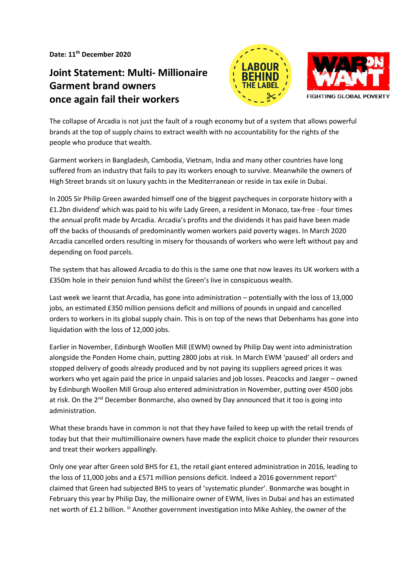**Date: 11th December 2020**

## **Joint Statement: Multi- Millionaire Garment brand owners once again fail their workers**





The collapse of Arcadia is not just the fault of a rough economy but of a system that allows powerful brands at the top of supply chains to extract wealth with no accountability for the rights of the people who produce that wealth.

Garment workers in Bangladesh, Cambodia, Vietnam, India and many other countries have long suffered from an industry that fails to pay its workers enough to survive. Meanwhile the owners of High Street brands sit on luxury yachts in the Mediterranean or reside in tax exile in Dubai.

In 2005 Sir Philip Green awarded himself one of the biggest paycheques in corporate history with a £1.2bn dividend<sup>i</sup> which was paid to his wife Lady Green, a resident in Monaco, tax-free - four times the annual profit made by Arcadia. Arcadia's profits and the dividends it has paid have been made off the backs of thousands of predominantly women workers paid poverty wages. In March 2020 Arcadia cancelled orders resulting in misery for thousands of workers who were left without pay and depending on food parcels.

The system that has allowed Arcadia to do this is the same one that now leaves its UK workers with a £350m hole in their pension fund whilst the Green's live in conspicuous wealth.

Last week we learnt that Arcadia, has gone into administration – potentially with the loss of 13,000 jobs, an estimated £350 million pensions deficit and millions of pounds in unpaid and cancelled orders to workers in its global supply chain. This is on top of the news that Debenhams has gone into liquidation with the loss of 12,000 jobs.

Earlier in November, Edinburgh Woollen Mill (EWM) owned by Philip Day went into administration alongside the Ponden Home chain, putting 2800 jobs at risk. In March EWM 'paused' all orders and stopped delivery of goods already produced and by not paying its suppliers agreed prices it was workers who yet again paid the price in unpaid salaries and job losses. Peacocks and Jaeger – owned by Edinburgh Woollen Mill Group also entered administration in November, putting over 4500 jobs at risk. On the 2<sup>nd</sup> December Bonmarche, also owned by Day announced that it too is going into administration.

What these brands have in common is not that they have failed to keep up with the retail trends of today but that their multimillionaire owners have made the explicit choice to plunder their resources and treat their workers appallingly.

Only one year after Green sold BHS for £1, the retail giant entered administration in 2016, leading to the loss of 11,000 jobs and a £571 million pensions deficit. Indeed a 2016 government report<sup>ii</sup> claimed that Green had subjected BHS to years of 'systematic plunder'. Bonmarche was bought in February this year by Philip Day, the millionaire owner of EWM, lives in Dubai and has an estimated net worth of £1.2 billion. <sup>iii</sup> Another government investigation into Mike Ashley, the owner of the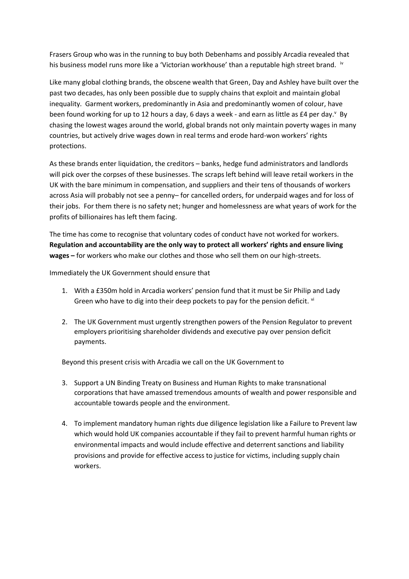Frasers Group who was in the running to buy both Debenhams and possibly Arcadia revealed that his business model runs more like a 'Victorian workhouse' than a reputable high street brand. iv

Like many global clothing brands, the obscene wealth that Green, Day and Ashley have built over the past two decades, has only been possible due to supply chains that exploit and maintain global inequality. Garment workers, predominantly in Asia and predominantly women of colour, have been found working for up to 12 hours a day, 6 days a week - and earn as little as £4 per day. <sup>v</sup> By chasing the lowest wages around the world, global brands not only maintain poverty wages in many countries, but actively drive wages down in real terms and erode hard-won workers' rights protections.

As these brands enter liquidation, the creditors – banks, hedge fund administrators and landlords will pick over the corpses of these businesses. The scraps left behind will leave retail workers in the UK with the bare minimum in compensation, and suppliers and their tens of thousands of workers across Asia will probably not see a penny– for cancelled orders, for underpaid wages and for loss of their jobs. For them there is no safety net; hunger and homelessness are what years of work for the profits of billionaires has left them facing.

The time has come to recognise that voluntary codes of conduct have not worked for workers. **Regulation and accountability are the only way to protect all workers' rights and ensure living wages –** for workers who make our clothes and those who sell them on our high-streets.

Immediately the UK Government should ensure that

- 1. With a £350m hold in Arcadia workers' pension fund that it must be Sir Philip and Lady Green who have to dig into their deep pockets to pay for the pension deficit. vi
- 2. The UK Government must urgently strengthen powers of the Pension Regulator to prevent employers prioritising shareholder dividends and executive pay over pension deficit payments.

Beyond this present crisis with Arcadia we call on the UK Government to

- 3. Support a UN Binding Treaty on Business and Human Rights to make transnational corporations that have amassed tremendous amounts of wealth and power responsible and accountable towards people and the environment.
- 4. To implement mandatory human rights due diligence legislation like a Failure to Prevent law which would hold UK companies accountable if they fail to prevent harmful human rights or environmental impacts and would include effective and deterrent sanctions and liability provisions and provide for effective access to justice for victims, including supply chain workers.